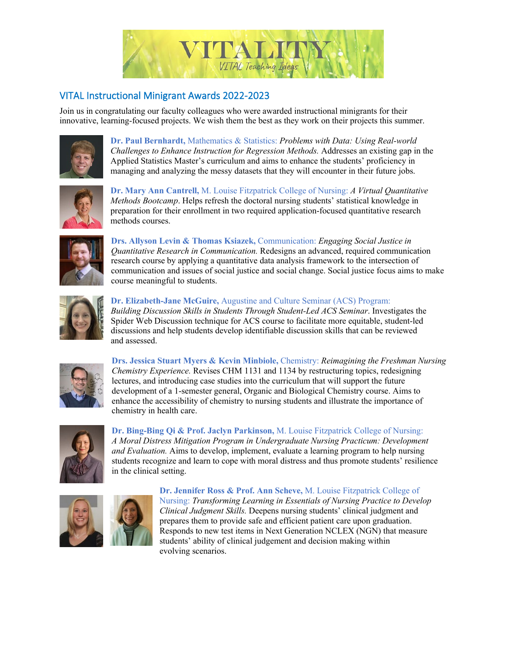

## VITAL Instructional Minigrant Awards 2022-2023

Join us in congratulating our faculty colleagues who were awarded instructional minigrants for their innovative, learning-focused projects. We wish them the best as they work on their projects this summer.



**Dr. Paul Bernhardt,** Mathematics & Statistics: *Problems with Data: Using Real-world Challenges to Enhance Instruction for Regression Methods.* Addresses an existing gap in the Applied Statistics Master's curriculum and aims to enhance the students' proficiency in managing and analyzing the messy datasets that they will encounter in their future jobs.



**Dr. Mary Ann Cantrell,** M. Louise Fitzpatrick College of Nursing: *A Virtual Quantitative Methods Bootcamp*. Helps refresh the doctoral nursing students' statistical knowledge in preparation for their enrollment in two required application-focused quantitative research methods courses.



**Drs. Allyson Levin & Thomas Ksiazek,** Communication: *Engaging Social Justice in Quantitative Research in Communication.* Redesigns an advanced, required communication research course by applying a quantitative data analysis framework to the intersection of communication and issues of social justice and social change. Social justice focus aims to make course meaningful to students.



## **Dr. Elizabeth-Jane McGuire,** Augustine and Culture Seminar (ACS) Program:

*Building Discussion Skills in Students Through Student-Led ACS Seminar*. Investigates the Spider Web Discussion technique for ACS course to facilitate more equitable, student-led discussions and help students develop identifiable discussion skills that can be reviewed and assessed.



**Drs. Jessica Stuart Myers & Kevin Minbiole,** Chemistry: *Reimagining the Freshman Nursing Chemistry Experience.* Revises CHM 1131 and 1134 by restructuring topics, redesigning lectures, and introducing case studies into the curriculum that will support the future development of a 1-semester general, Organic and Biological Chemistry course. Aims to enhance the accessibility of chemistry to nursing students and illustrate the importance of chemistry in health care.



**Dr. Bing-Bing Qi & Prof. Jaclyn Parkinson,** M. Louise Fitzpatrick College of Nursing: *A Moral Distress Mitigation Program in Undergraduate Nursing Practicum: Development and Evaluation.* Aims to develop, implement, evaluate a learning program to help nursing students recognize and learn to cope with moral distress and thus promote students' resilience in the clinical setting.





**Dr. Jennifer Ross & Prof. Ann Scheve,** M. Louise Fitzpatrick College of Nursing: *Transforming Learning in Essentials of Nursing Practice to Develop Clinical Judgment Skills.* Deepens nursing students' clinical judgment and prepares them to provide safe and efficient patient care upon graduation. Responds to new test items in Next Generation NCLEX (NGN) that measure students' ability of clinical judgement and decision making within evolving scenarios.